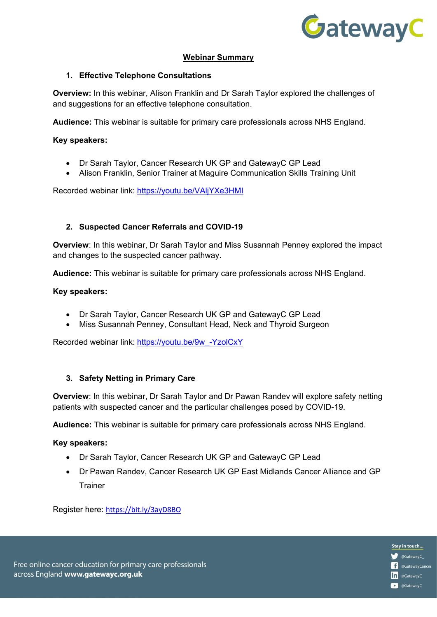

Stay in touch... CatewayC\_

**in** @GatewayC **C** @GatewayC

**C** @GatewayCancer

## **Webinar Summary**

### **1. Effective Telephone Consultations**

**Overview:** In this webinar, Alison Franklin and Dr Sarah Taylor explored the challenges of and suggestions for an effective telephone consultation.

**Audience:** This webinar is suitable for primary care professionals across NHS England.

### **Key speakers:**

- Dr Sarah Taylor, Cancer Research UK GP and GatewayC GP Lead
- Alison Franklin, Senior Trainer at Maguire Communication Skills Training Unit

Recorded webinar link:<https://youtu.be/VAljYXe3HMI>

## **2. Suspected Cancer Referrals and COVID-19**

**Overview**: In this webinar, Dr Sarah Taylor and Miss Susannah Penney explored the impact and changes to the suspected cancer pathway.

**Audience:** This webinar is suitable for primary care professionals across NHS England.

#### **Key speakers:**

- Dr Sarah Taylor, Cancer Research UK GP and GatewayC GP Lead
- Miss Susannah Penney, Consultant Head, Neck and Thyroid Surgeon

Recorded webinar link: [https://youtu.be/9w\\_-YzolCxY](https://youtu.be/9w_-YzolCxY)

## **3. Safety Netting in Primary Care**

**Overview**: In this webinar, Dr Sarah Taylor and Dr Pawan Randev will explore safety netting patients with suspected cancer and the particular challenges posed by COVID-19.

**Audience:** This webinar is suitable for primary care professionals across NHS England.

## **Key speakers:**

- Dr Sarah Taylor, Cancer Research UK GP and GatewayC GP Lead
- Dr Pawan Randev, Cancer Research UK GP East Midlands Cancer Alliance and GP Trainer

Register here: <https://bit.ly/3ayD8BO>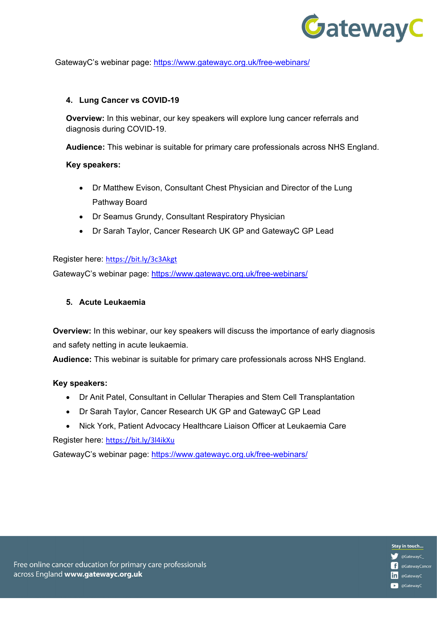

Stay in touch... @GatewayC\_

in @GatewayC **D** @GatewayC

**C** @GatewayCancer

GatewayC's webinar page:<https://www.gatewayc.org.uk/free-webinars/>

#### **4. Lung Cancer vs COVID-19**

**Overview:** In this webinar, our key speakers will explore lung cancer referrals and diagnosis during COVID-19.

**Audience:** This webinar is suitable for primary care professionals across NHS England.

#### **Key speakers:**

- Dr Matthew Evison, Consultant Chest Physician and Director of the Lung Pathway Board
- Dr Seamus Grundy, Consultant Respiratory Physician
- Dr Sarah Taylor, Cancer Research UK GP and GatewayC GP Lead

Register here: <https://bit.ly/3c3Akgt>

GatewayC's webinar page:<https://www.gatewayc.org.uk/free-webinars/>

## **5. Acute Leukaemia**

**Overview:** In this webinar, our key speakers will discuss the importance of early diagnosis and safety netting in acute leukaemia.

**Audience:** This webinar is suitable for primary care professionals across NHS England.

#### **Key speakers:**

- Dr Anit Patel, Consultant in Cellular Therapies and Stem Cell Transplantation
- Dr Sarah Taylor, Cancer Research UK GP and GatewayC GP Lead
- Nick York, Patient Advocacy Healthcare Liaison Officer at Leukaemia Care

Register here: <https://bit.ly/3l4ikXu>

GatewayC's webinar page:<https://www.gatewayc.org.uk/free-webinars/>